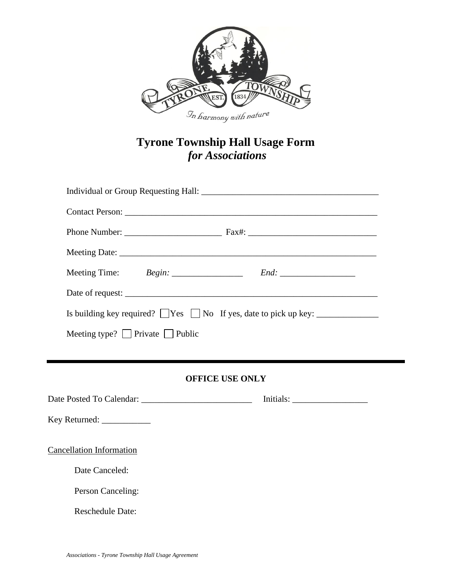

# **Tyrone Township Hall Usage Form** *for Associations*

| Contact Person:                                                                    |  |  |  |
|------------------------------------------------------------------------------------|--|--|--|
|                                                                                    |  |  |  |
|                                                                                    |  |  |  |
|                                                                                    |  |  |  |
| Date of request:                                                                   |  |  |  |
| Is building key required? $\Box$ Yes $\Box$ No If yes, date to pick up key: $\Box$ |  |  |  |
| Meeting type? $\Box$ Private $\Box$ Public                                         |  |  |  |
|                                                                                    |  |  |  |
|                                                                                    |  |  |  |

### **OFFICE USE ONLY**

Date Posted To Calendar: \_\_\_\_\_\_\_\_\_\_\_\_\_\_\_\_\_\_\_\_\_\_\_\_\_ Initials: \_\_\_\_\_\_\_\_\_\_\_\_\_\_\_\_\_ Key Returned: \_\_\_\_\_\_\_\_\_\_\_\_\_\_ Cancellation Information

Date Canceled:

Person Canceling:

Reschedule Date: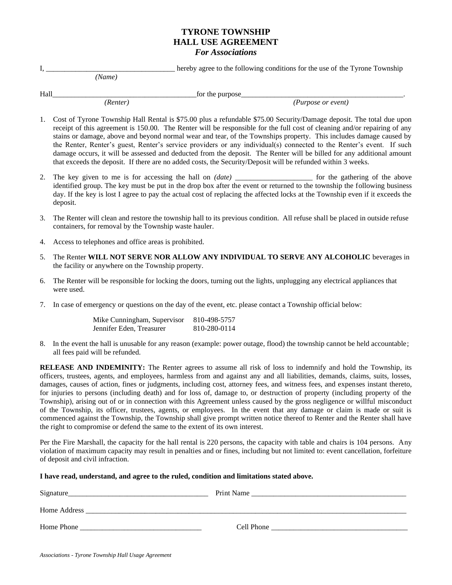#### **TYRONE TOWNSHIP HALL USE AGREEMENT** *For Associations*

I, \_\_\_\_\_\_\_\_\_\_\_\_\_\_\_\_\_\_\_\_\_\_\_\_\_\_\_\_\_\_\_\_\_\_\_ hereby agree to the following conditions for the use of the Tyrone Township  *(Name)*

Hall\_\_\_\_\_\_\_\_\_\_\_\_\_\_\_\_\_\_\_\_\_\_\_\_\_\_\_\_\_\_\_\_\_\_\_\_\_\_\_for the purpose\_\_\_\_\_\_\_\_\_\_\_\_\_\_\_\_\_\_\_\_\_\_\_\_\_\_\_\_\_\_\_\_\_\_\_\_\_\_\_\_\_\_\_\_.

 *(Renter) (Purpose or event)*

- 1. Cost of Tyrone Township Hall Rental is \$75.00 plus a refundable \$75.00 Security/Damage deposit. The total due upon receipt of this agreement is 150.00. The Renter will be responsible for the full cost of cleaning and/or repairing of any stains or damage, above and beyond normal wear and tear, of the Townships property. This includes damage caused by the Renter, Renter's guest, Renter's service providers or any individual(s) connected to the Renter's event. If such damage occurs, it will be assessed and deducted from the deposit. The Renter will be billed for any additional amount that exceeds the deposit. If there are no added costs, the Security/Deposit will be refunded within 3 weeks.
- 2. The key given to me is for accessing the hall on *(date)* for the gathering of the above identified group. The key must be put in the drop box after the event or returned to the township the following business day. If the key is lost I agree to pay the actual cost of replacing the affected locks at the Township even if it exceeds the deposit.
- 3. The Renter will clean and restore the township hall to its previous condition. All refuse shall be placed in outside refuse containers, for removal by the Township waste hauler.
- 4. Access to telephones and office areas is prohibited.
- 5. The Renter **WILL NOT SERVE NOR ALLOW ANY INDIVIDUAL TO SERVE ANY ALCOHOLIC** beverages in the facility or anywhere on the Township property.
- 6. The Renter will be responsible for locking the doors, turning out the lights, unplugging any electrical appliances that were used.
- 7. In case of emergency or questions on the day of the event, etc. please contact a Township official below:

| Mike Cunningham, Supervisor | 810-498-5757 |
|-----------------------------|--------------|
| Jennifer Eden, Treasurer    | 810-280-0114 |

8. In the event the hall is unusable for any reason (example: power outage, flood) the township cannot be held accountable; all fees paid will be refunded.

**RELEASE AND INDEMINITY:** The Renter agrees to assume all risk of loss to indemnify and hold the Township, its officers, trustees, agents, and employees, harmless from and against any and all liabilities, demands, claims, suits, losses, damages, causes of action, fines or judgments, including cost, attorney fees, and witness fees, and expenses instant thereto, for injuries to persons (including death) and for loss of, damage to, or destruction of property (including property of the Township), arising out of or in connection with this Agreement unless caused by the gross negligence or willful misconduct of the Township, its officer, trustees, agents, or employees. In the event that any damage or claim is made or suit is commenced against the Township, the Township shall give prompt written notice thereof to Renter and the Renter shall have the right to compromise or defend the same to the extent of its own interest.

Per the Fire Marshall, the capacity for the hall rental is 220 persons, the capacity with table and chairs is 104 persons. Any violation of maximum capacity may result in penalties and or fines, including but not limited to: event cancellation, forfeiture of deposit and civil infraction.

#### **I have read, understand, and agree to the ruled, condition and limitations stated above.**

| Signature    | Print Name |
|--------------|------------|
| Home Address |            |
| Home Phone   | Cell Phone |